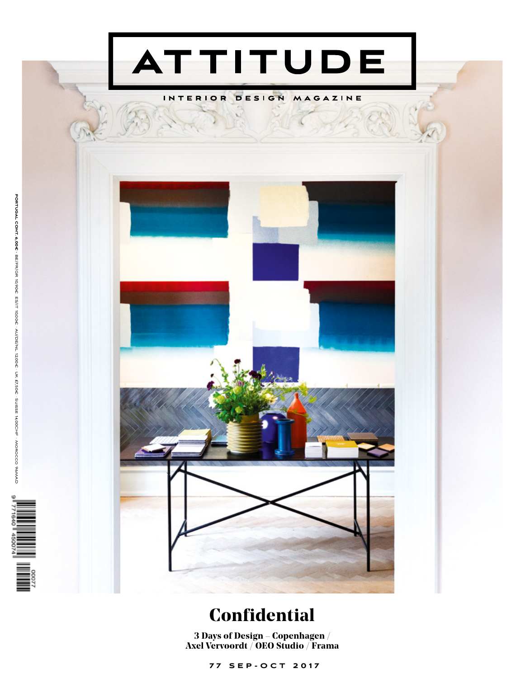

## INTERIOR DESIGN MAGAZINE



## **Confidential**

**3 Days of Design – Copenhagen** / **Axel Vervoordt / OEO Studio** / **Frama**